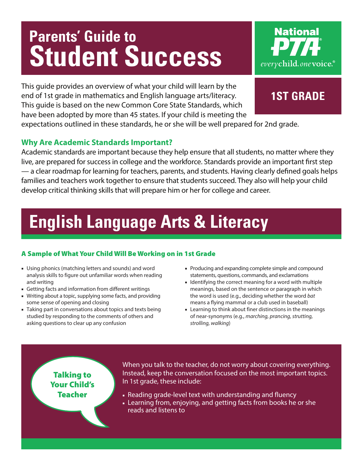# **Parents' Guide to Student Success**

This guide provides an overview of what your child will learn by the end of 1st grade in mathematics and English language arts/literacy. This guide is based on the new Common Core State Standards, which have been adopted by more than 45 states. If your child is meeting the

expectations outlined in these standards, he or she will be well prepared for 2nd grade.

### **Why Are Academic Standards Important?**

Academic standards are important because they help ensure that all students, no matter where they live, are prepared for success in college and the workforce. Standards provide an important first step — a clear roadmap for learning for teachers, parents, and students. Having clearly defined goals helps families and teachers work together to ensure that students succeed. They also will help your child develop critical thinking skills that will prepare him or her for college and career.

# **English Language Arts & Literacy**

### A Sample of What Your Child Will Be Working on in 1st Grade

- Using phonics (matching letters and sounds) and word analysis skills to figure out unfamiliar words when reading and writing
- Getting facts and information from different writings
- Writing about a topic, supplying some facts, and providing some sense of opening and closing
- Taking part in conversations about topics and texts being studied by responding to the comments of others and asking questions to clear up any confusion
- Producing and expanding complete simple and compound statements, questions, commands, and exclamations
- Identifying the correct meaning for a word with multiple meanings, based on the sentence or paragraph in which the word is used (e.g., deciding whether the word *bat* means a flying mammal or a club used in baseball)
- Learning to think about finer distinctions in the meanings of near-synonyms (e.g., *marching, prancing, strutting, strolling, walking*)

Talking to Your Child's Teacher

When you talk to the teacher, do not worry about covering everything. Instead, keep the conversation focused on the most important topics. In 1st grade, these include:

- Reading grade-level text with understanding and fluency
- Learning from, enjoying, and getting facts from books he or she reads and listens to

# **1st grade**